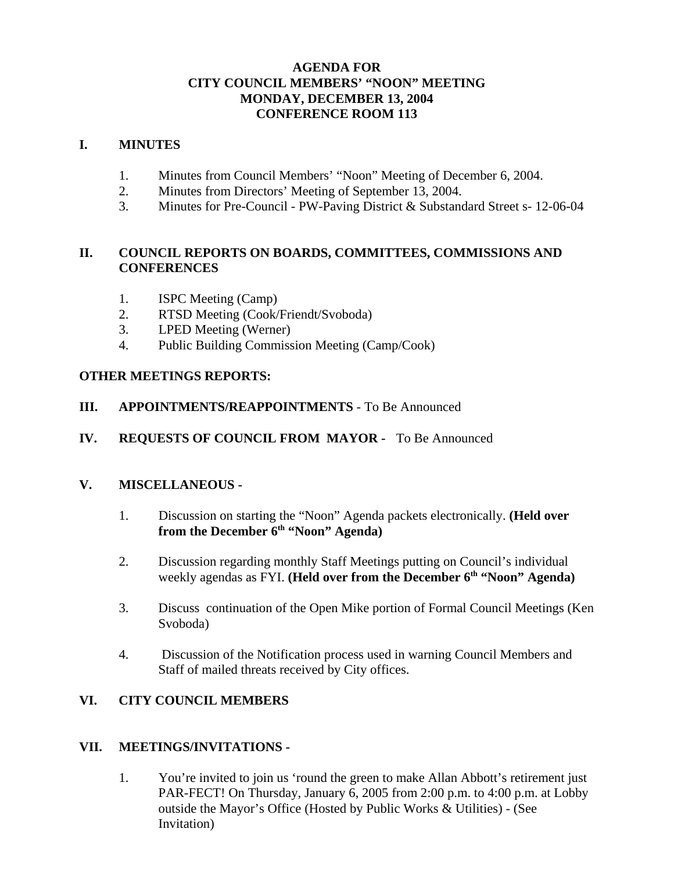## **AGENDA FOR CITY COUNCIL MEMBERS' "NOON" MEETING MONDAY, DECEMBER 13, 2004 CONFERENCE ROOM 113**

#### **I. MINUTES**

- 1. Minutes from Council Members' "Noon" Meeting of December 6, 2004.
- 2. Minutes from Directors' Meeting of September 13, 2004.
- 3. Minutes for Pre-Council PW-Paving District & Substandard Street s- 12-06-04

## **II. COUNCIL REPORTS ON BOARDS, COMMITTEES, COMMISSIONS AND CONFERENCES**

- 1. ISPC Meeting (Camp)
- 2. RTSD Meeting (Cook/Friendt/Svoboda)
- 3. LPED Meeting (Werner)
- 4. Public Building Commission Meeting (Camp/Cook)

## **OTHER MEETINGS REPORTS:**

- **III. APPOINTMENTS/REAPPOINTMENTS** To Be Announced
- **IV. REQUESTS OF COUNCIL FROM MAYOR** To Be Announced

## **V. MISCELLANEOUS -**

- 1. Discussion on starting the "Noon" Agenda packets electronically. **(Held over** from the December 6<sup>th</sup> "Noon" Agenda)
- 2. Discussion regarding monthly Staff Meetings putting on Council's individual weekly agendas as FYI. **(Held over from the December 6<sup>th</sup> "Noon" Agenda)**
- 3. Discuss continuation of the Open Mike portion of Formal Council Meetings (Ken Svoboda)
- 4. Discussion of the Notification process used in warning Council Members and Staff of mailed threats received by City offices.

# **VI. CITY COUNCIL MEMBERS**

## **VII. MEETINGS/INVITATIONS -**

1. You're invited to join us 'round the green to make Allan Abbott's retirement just PAR-FECT! On Thursday, January 6, 2005 from 2:00 p.m. to 4:00 p.m. at Lobby outside the Mayor's Office (Hosted by Public Works & Utilities) - (See Invitation)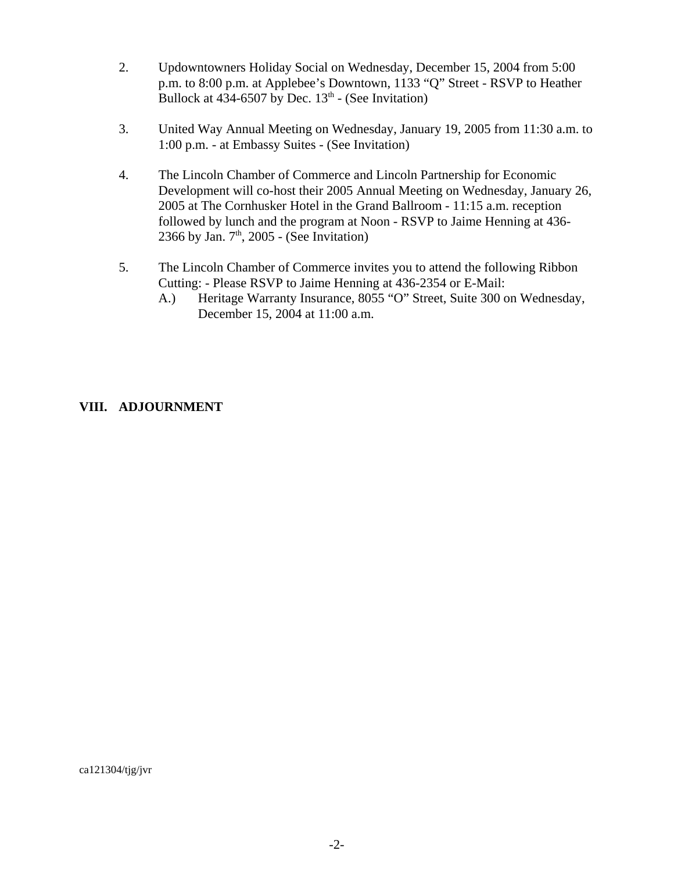- 2. Updowntowners Holiday Social on Wednesday, December 15, 2004 from 5:00 p.m. to 8:00 p.m. at Applebee's Downtown, 1133 "Q" Street - RSVP to Heather Bullock at  $434-6507$  by Dec.  $13<sup>th</sup>$  - (See Invitation)
- 3. United Way Annual Meeting on Wednesday, January 19, 2005 from 11:30 a.m. to 1:00 p.m. - at Embassy Suites - (See Invitation)
- 4. The Lincoln Chamber of Commerce and Lincoln Partnership for Economic Development will co-host their 2005 Annual Meeting on Wednesday, January 26, 2005 at The Cornhusker Hotel in the Grand Ballroom - 11:15 a.m. reception followed by lunch and the program at Noon - RSVP to Jaime Henning at 436- 2366 by Jan.  $7<sup>th</sup>$ , 2005 - (See Invitation)
- 5. The Lincoln Chamber of Commerce invites you to attend the following Ribbon Cutting: - Please RSVP to Jaime Henning at 436-2354 or E-Mail:
	- A.) Heritage Warranty Insurance, 8055 "O" Street, Suite 300 on Wednesday, December 15, 2004 at 11:00 a.m.

## **VIII. ADJOURNMENT**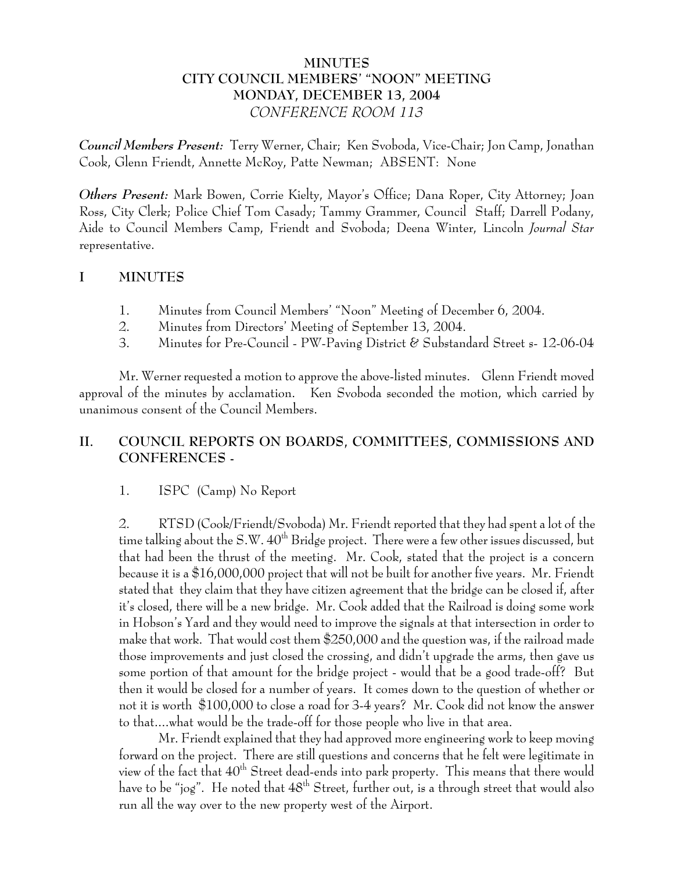## **MINUTES CITY COUNCIL MEMBERS' "NOON" MEETING MONDAY, DECEMBER 13, 2004** *CONFERENCE ROOM 113*

*Council Members Present:* Terry Werner, Chair; Ken Svoboda, Vice-Chair; Jon Camp, Jonathan Cook, Glenn Friendt, Annette McRoy, Patte Newman; ABSENT: None

*Others Present:* Mark Bowen, Corrie Kielty, Mayor's Office; Dana Roper, City Attorney; Joan Ross, City Clerk; Police Chief Tom Casady; Tammy Grammer, Council Staff; Darrell Podany, Aide to Council Members Camp, Friendt and Svoboda; Deena Winter, Lincoln *Journal Star* representative.

## **I MINUTES**

- 1. Minutes from Council Members' "Noon" Meeting of December 6, 2004.
- 2. Minutes from Directors' Meeting of September 13, 2004.
- 3. Minutes for Pre-Council PW-Paving District & Substandard Street s- 12-06-04

Mr. Werner requested a motion to approve the above-listed minutes. Glenn Friendt moved approval of the minutes by acclamation. Ken Svoboda seconded the motion, which carried by unanimous consent of the Council Members.

# **II. COUNCIL REPORTS ON BOARDS, COMMITTEES, COMMISSIONS AND CONFERENCES -**

# 1. ISPC (Camp) No Report

2. RTSD (Cook/Friendt/Svoboda) Mr. Friendt reported that they had spent a lot of the time talking about the S.W.  $40^{th}$  Bridge project. There were a few other issues discussed, but that had been the thrust of the meeting. Mr. Cook, stated that the project is a concern because it is a \$16,000,000 project that will not be built for another five years. Mr. Friendt stated that they claim that they have citizen agreement that the bridge can be closed if, after it's closed, there will be a new bridge. Mr. Cook added that the Railroad is doing some work in Hobson's Yard and they would need to improve the signals at that intersection in order to make that work. That would cost them \$250,000 and the question was, if the railroad made those improvements and just closed the crossing, and didn't upgrade the arms, then gave us some portion of that amount for the bridge project - would that be a good trade-off? But then it would be closed for a number of years. It comes down to the question of whether or not it is worth \$100,000 to close a road for 3-4 years? Mr. Cook did not know the answer to that....what would be the trade-off for those people who live in that area.

Mr. Friendt explained that they had approved more engineering work to keep moving forward on the project. There are still questions and concerns that he felt were legitimate in view of the fact that  $40^{th}$  Street dead-ends into park property. This means that there would have to be "jog". He noted that  $48<sup>th</sup>$  Street, further out, is a through street that would also run all the way over to the new property west of the Airport.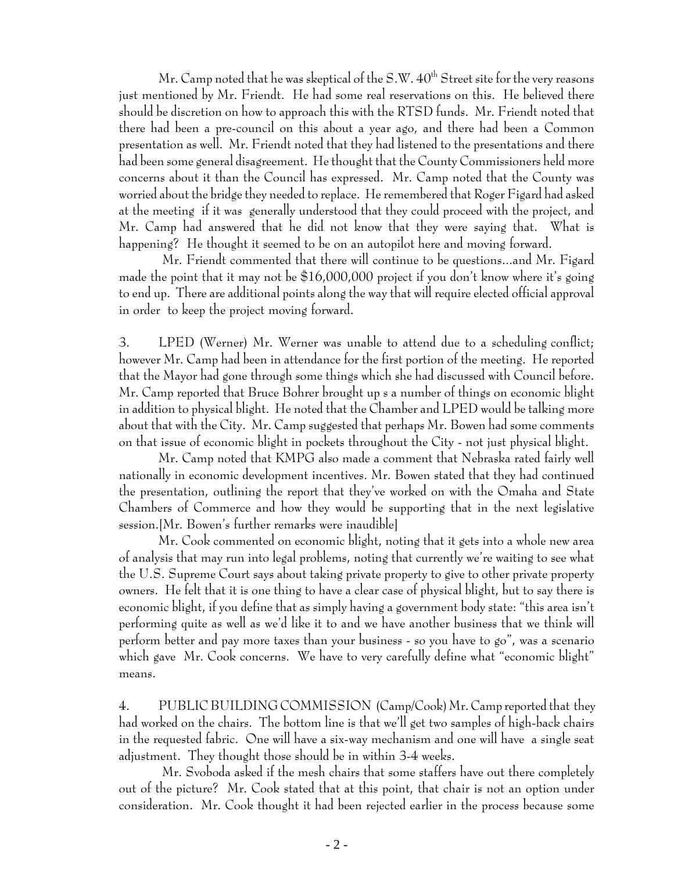Mr. Camp noted that he was skeptical of the  $S.W. 40<sup>th</sup>$  Street site for the very reasons just mentioned by Mr. Friendt. He had some real reservations on this. He believed there should be discretion on how to approach this with the RTSD funds. Mr. Friendt noted that there had been a pre-council on this about a year ago, and there had been a Common presentation as well. Mr. Friendt noted that they had listened to the presentations and there had been some general disagreement. He thought that the County Commissioners held more concerns about it than the Council has expressed. Mr. Camp noted that the County was worried about the bridge they needed to replace. He remembered that Roger Figard had asked at the meeting if it was generally understood that they could proceed with the project, and Mr. Camp had answered that he did not know that they were saying that. What is happening? He thought it seemed to be on an autopilot here and moving forward.

 Mr. Friendt commented that there will continue to be questions...and Mr. Figard made the point that it may not be \$16,000,000 project if you don't know where it's going to end up. There are additional points along the way that will require elected official approval in order to keep the project moving forward.

3. LPED (Werner) Mr. Werner was unable to attend due to a scheduling conflict; however Mr. Camp had been in attendance for the first portion of the meeting. He reported that the Mayor had gone through some things which she had discussed with Council before. Mr. Camp reported that Bruce Bohrer brought up s a number of things on economic blight in addition to physical blight. He noted that the Chamber and LPED would be talking more about that with the City. Mr. Camp suggested that perhaps Mr. Bowen had some comments on that issue of economic blight in pockets throughout the City - not just physical blight.

Mr. Camp noted that KMPG also made a comment that Nebraska rated fairly well nationally in economic development incentives. Mr. Bowen stated that they had continued the presentation, outlining the report that they've worked on with the Omaha and State Chambers of Commerce and how they would be supporting that in the next legislative session.[Mr. Bowen's further remarks were inaudible]

Mr. Cook commented on economic blight, noting that it gets into a whole new area of analysis that may run into legal problems, noting that currently we're waiting to see what the U.S. Supreme Court says about taking private property to give to other private property owners. He felt that it is one thing to have a clear case of physical blight, but to say there is economic blight, if you define that as simply having a government body state: "this area isn't performing quite as well as we'd like it to and we have another business that we think will perform better and pay more taxes than your business - so you have to go", was a scenario which gave Mr. Cook concerns. We have to very carefully define what "economic blight" means.

4. PUBLIC BUILDING COMMISSION (Camp/Cook) Mr. Camp reported that they had worked on the chairs. The bottom line is that we'll get two samples of high-back chairs in the requested fabric. One will have a six-way mechanism and one will have a single seat adjustment. They thought those should be in within 3-4 weeks.

 Mr. Svoboda asked if the mesh chairs that some staffers have out there completely out of the picture? Mr. Cook stated that at this point, that chair is not an option under consideration. Mr. Cook thought it had been rejected earlier in the process because some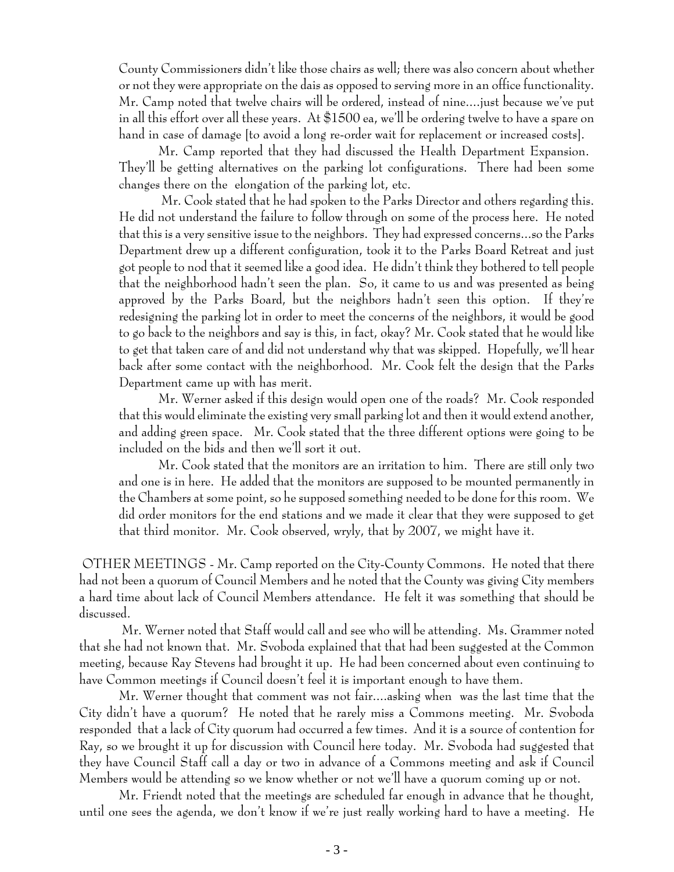County Commissioners didn't like those chairs as well; there was also concern about whether or not they were appropriate on the dais as opposed to serving more in an office functionality. Mr. Camp noted that twelve chairs will be ordered, instead of nine....just because we've put in all this effort over all these years. At \$1500 ea, we'll be ordering twelve to have a spare on hand in case of damage [to avoid a long re-order wait for replacement or increased costs].

Mr. Camp reported that they had discussed the Health Department Expansion. They'll be getting alternatives on the parking lot configurations. There had been some changes there on the elongation of the parking lot, etc.

 Mr. Cook stated that he had spoken to the Parks Director and others regarding this. He did not understand the failure to follow through on some of the process here. He noted that this is a very sensitive issue to the neighbors. They had expressed concerns...so the Parks Department drew up a different configuration, took it to the Parks Board Retreat and just got people to nod that it seemed like a good idea. He didn't think they bothered to tell people that the neighborhood hadn't seen the plan. So, it came to us and was presented as being approved by the Parks Board, but the neighbors hadn't seen this option. If they're redesigning the parking lot in order to meet the concerns of the neighbors, it would be good to go back to the neighbors and say is this, in fact, okay? Mr. Cook stated that he would like to get that taken care of and did not understand why that was skipped. Hopefully, we'll hear back after some contact with the neighborhood. Mr. Cook felt the design that the Parks Department came up with has merit.

Mr. Werner asked if this design would open one of the roads? Mr. Cook responded that this would eliminate the existing very small parking lot and then it would extend another, and adding green space. Mr. Cook stated that the three different options were going to be included on the bids and then we'll sort it out.

Mr. Cook stated that the monitors are an irritation to him. There are still only two and one is in here. He added that the monitors are supposed to be mounted permanently in the Chambers at some point, so he supposed something needed to be done for this room. We did order monitors for the end stations and we made it clear that they were supposed to get that third monitor. Mr. Cook observed, wryly, that by 2007, we might have it.

 OTHER MEETINGS - Mr. Camp reported on the City-County Commons. He noted that there had not been a quorum of Council Members and he noted that the County was giving City members a hard time about lack of Council Members attendance. He felt it was something that should be discussed.

 Mr. Werner noted that Staff would call and see who will be attending. Ms. Grammer noted that she had not known that. Mr. Svoboda explained that that had been suggested at the Common meeting, because Ray Stevens had brought it up. He had been concerned about even continuing to have Common meetings if Council doesn't feel it is important enough to have them.

Mr. Werner thought that comment was not fair....asking when was the last time that the City didn't have a quorum? He noted that he rarely miss a Commons meeting. Mr. Svoboda responded that a lack of City quorum had occurred a few times. And it is a source of contention for Ray, so we brought it up for discussion with Council here today. Mr. Svoboda had suggested that they have Council Staff call a day or two in advance of a Commons meeting and ask if Council Members would be attending so we know whether or not we'll have a quorum coming up or not.

Mr. Friendt noted that the meetings are scheduled far enough in advance that he thought, until one sees the agenda, we don't know if we're just really working hard to have a meeting. He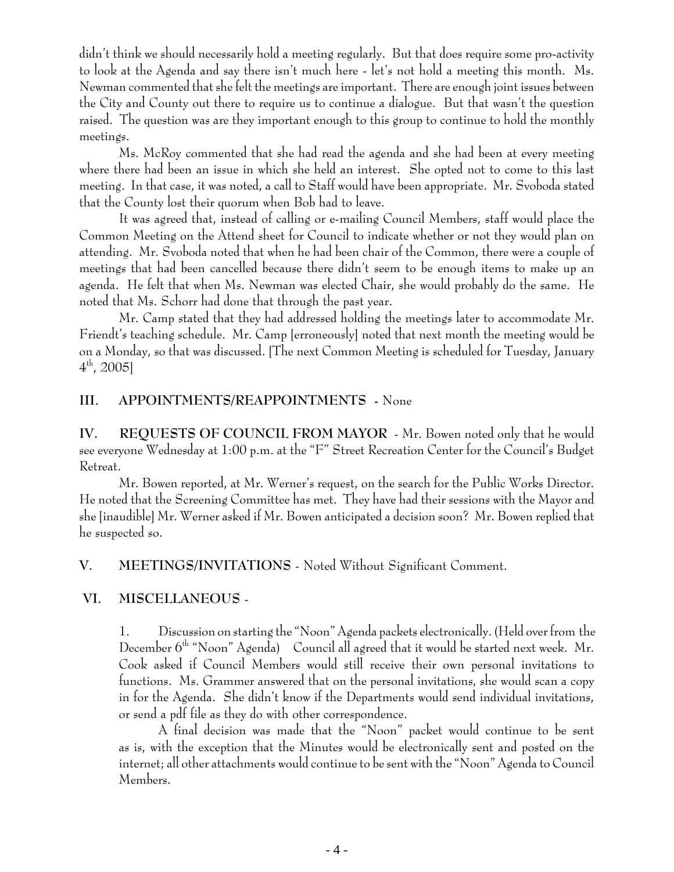didn't think we should necessarily hold a meeting regularly. But that does require some pro-activity to look at the Agenda and say there isn't much here - let's not hold a meeting this month. Ms. Newman commented that she felt the meetings are important. There are enough joint issues between the City and County out there to require us to continue a dialogue. But that wasn't the question raised. The question was are they important enough to this group to continue to hold the monthly meetings.

Ms. McRoy commented that she had read the agenda and she had been at every meeting where there had been an issue in which she held an interest. She opted not to come to this last meeting. In that case, it was noted, a call to Staff would have been appropriate. Mr. Svoboda stated that the County lost their quorum when Bob had to leave.

It was agreed that, instead of calling or e-mailing Council Members, staff would place the Common Meeting on the Attend sheet for Council to indicate whether or not they would plan on attending. Mr. Svoboda noted that when he had been chair of the Common, there were a couple of meetings that had been cancelled because there didn't seem to be enough items to make up an agenda. He felt that when Ms. Newman was elected Chair, she would probably do the same. He noted that Ms. Schorr had done that through the past year.

Mr. Camp stated that they had addressed holding the meetings later to accommodate Mr. Friendt's teaching schedule. Mr. Camp [erroneously] noted that next month the meeting would be on a Monday, so that was discussed. [The next Common Meeting is scheduled for Tuesday, January  $4^{\text{th}}$ , 2005]

## **III. APPOINTMENTS/REAPPOINTMENTS -** None

**IV. REQUESTS OF COUNCIL FROM MAYOR** - Mr. Bowen noted only that he would see everyone Wednesday at 1:00 p.m. at the "F" Street Recreation Center for the Council's Budget Retreat.

Mr. Bowen reported, at Mr. Werner's request, on the search for the Public Works Director. He noted that the Screening Committee has met. They have had their sessions with the Mayor and she [inaudible] Mr. Werner asked if Mr. Bowen anticipated a decision soon? Mr. Bowen replied that he suspected so.

**V. MEETINGS/INVITATIONS** - Noted Without Significant Comment.

# **VI. MISCELLANEOUS** -

1. Discussion on starting the "Noon" Agenda packets electronically. (Held over from the December  $6<sup>th</sup>$  "Noon" Agenda) Council all agreed that it would be started next week. Mr. Cook asked if Council Members would still receive their own personal invitations to functions. Ms. Grammer answered that on the personal invitations, she would scan a copy in for the Agenda. She didn't know if the Departments would send individual invitations, or send a pdf file as they do with other correspondence.

A final decision was made that the "Noon" packet would continue to be sent as is, with the exception that the Minutes would be electronically sent and posted on the internet; all other attachments would continue to be sent with the "Noon" Agenda to Council Members.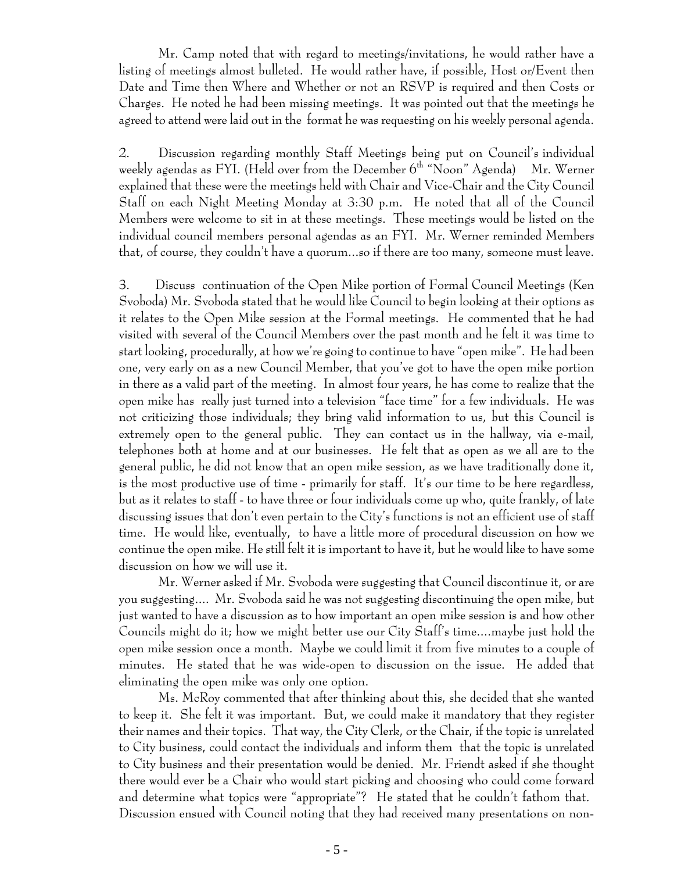Mr. Camp noted that with regard to meetings/invitations, he would rather have a listing of meetings almost bulleted. He would rather have, if possible, Host or/Event then Date and Time then Where and Whether or not an RSVP is required and then Costs or Charges. He noted he had been missing meetings. It was pointed out that the meetings he agreed to attend were laid out in the format he was requesting on his weekly personal agenda.

2. Discussion regarding monthly Staff Meetings being put on Council's individual weekly agendas as FYI. (Held over from the December  $6<sup>th</sup>$  "Noon" Agenda) Mr. Werner explained that these were the meetings held with Chair and Vice-Chair and the City Council Staff on each Night Meeting Monday at 3:30 p.m. He noted that all of the Council Members were welcome to sit in at these meetings. These meetings would be listed on the individual council members personal agendas as an FYI. Mr. Werner reminded Members that, of course, they couldn't have a quorum...so if there are too many, someone must leave.

3. Discuss continuation of the Open Mike portion of Formal Council Meetings (Ken Svoboda) Mr. Svoboda stated that he would like Council to begin looking at their options as it relates to the Open Mike session at the Formal meetings. He commented that he had visited with several of the Council Members over the past month and he felt it was time to start looking, procedurally, at how we're going to continue to have "open mike". He had been one, very early on as a new Council Member, that you've got to have the open mike portion in there as a valid part of the meeting. In almost four years, he has come to realize that the open mike has really just turned into a television "face time" for a few individuals. He was not criticizing those individuals; they bring valid information to us, but this Council is extremely open to the general public. They can contact us in the hallway, via e-mail, telephones both at home and at our businesses. He felt that as open as we all are to the general public, he did not know that an open mike session, as we have traditionally done it, is the most productive use of time - primarily for staff. It's our time to be here regardless, but as it relates to staff - to have three or four individuals come up who, quite frankly, of late discussing issues that don't even pertain to the City's functions is not an efficient use of staff time. He would like, eventually, to have a little more of procedural discussion on how we continue the open mike. He still felt it is important to have it, but he would like to have some discussion on how we will use it.

Mr. Werner asked if Mr. Svoboda were suggesting that Council discontinue it, or are you suggesting.... Mr. Svoboda said he was not suggesting discontinuing the open mike, but just wanted to have a discussion as to how important an open mike session is and how other Councils might do it; how we might better use our City Staff's time....maybe just hold the open mike session once a month. Maybe we could limit it from five minutes to a couple of minutes. He stated that he was wide-open to discussion on the issue. He added that eliminating the open mike was only one option.

Ms. McRoy commented that after thinking about this, she decided that she wanted to keep it. She felt it was important. But, we could make it mandatory that they register their names and their topics. That way, the City Clerk, or the Chair, if the topic is unrelated to City business, could contact the individuals and inform them that the topic is unrelated to City business and their presentation would be denied. Mr. Friendt asked if she thought there would ever be a Chair who would start picking and choosing who could come forward and determine what topics were "appropriate"? He stated that he couldn't fathom that. Discussion ensued with Council noting that they had received many presentations on non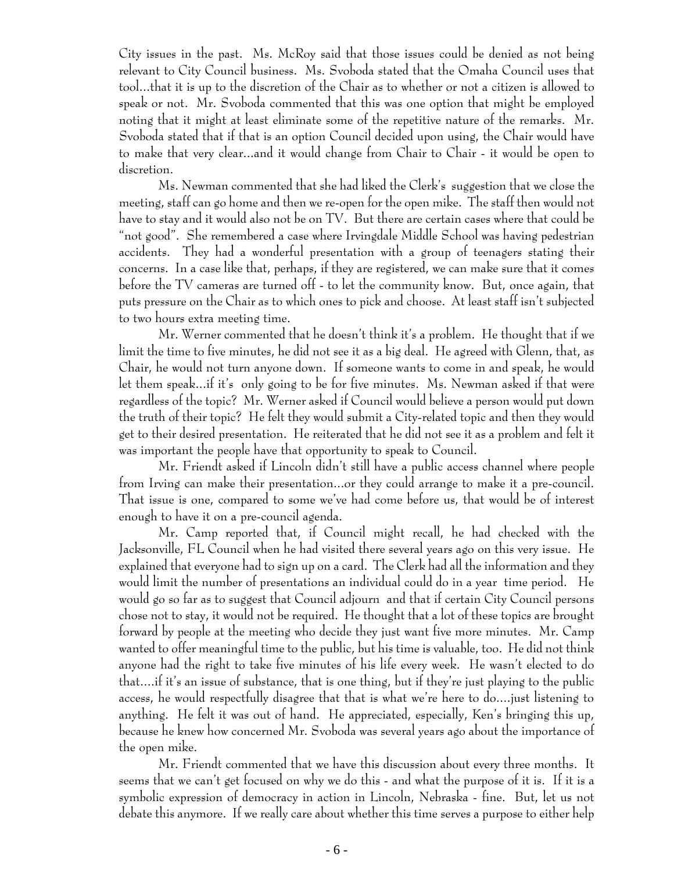City issues in the past. Ms. McRoy said that those issues could be denied as not being relevant to City Council business. Ms. Svoboda stated that the Omaha Council uses that tool...that it is up to the discretion of the Chair as to whether or not a citizen is allowed to speak or not. Mr. Svoboda commented that this was one option that might be employed noting that it might at least eliminate some of the repetitive nature of the remarks. Mr. Svoboda stated that if that is an option Council decided upon using, the Chair would have to make that very clear...and it would change from Chair to Chair - it would be open to discretion.

Ms. Newman commented that she had liked the Clerk's suggestion that we close the meeting, staff can go home and then we re-open for the open mike. The staff then would not have to stay and it would also not be on TV. But there are certain cases where that could be "not good". She remembered a case where Irvingdale Middle School was having pedestrian accidents. They had a wonderful presentation with a group of teenagers stating their concerns. In a case like that, perhaps, if they are registered, we can make sure that it comes before the TV cameras are turned off - to let the community know. But, once again, that puts pressure on the Chair as to which ones to pick and choose. At least staff isn't subjected to two hours extra meeting time.

Mr. Werner commented that he doesn't think it's a problem. He thought that if we limit the time to five minutes, he did not see it as a big deal. He agreed with Glenn, that, as Chair, he would not turn anyone down. If someone wants to come in and speak, he would let them speak...if it's only going to be for five minutes. Ms. Newman asked if that were regardless of the topic? Mr. Werner asked if Council would believe a person would put down the truth of their topic? He felt they would submit a City-related topic and then they would get to their desired presentation. He reiterated that he did not see it as a problem and felt it was important the people have that opportunity to speak to Council.

Mr. Friendt asked if Lincoln didn't still have a public access channel where people from Irving can make their presentation...or they could arrange to make it a pre-council. That issue is one, compared to some we've had come before us, that would be of interest enough to have it on a pre-council agenda.

Mr. Camp reported that, if Council might recall, he had checked with the Jacksonville, FL Council when he had visited there several years ago on this very issue. He explained that everyone had to sign up on a card. The Clerk had all the information and they would limit the number of presentations an individual could do in a year time period. He would go so far as to suggest that Council adjourn and that if certain City Council persons chose not to stay, it would not be required. He thought that a lot of these topics are brought forward by people at the meeting who decide they just want five more minutes. Mr. Camp wanted to offer meaningful time to the public, but his time is valuable, too. He did not think anyone had the right to take five minutes of his life every week. He wasn't elected to do that....if it's an issue of substance, that is one thing, but if they're just playing to the public access, he would respectfully disagree that that is what we're here to do....just listening to anything. He felt it was out of hand. He appreciated, especially, Ken's bringing this up, because he knew how concerned Mr. Svoboda was several years ago about the importance of the open mike.

Mr. Friendt commented that we have this discussion about every three months. It seems that we can't get focused on why we do this - and what the purpose of it is. If it is a symbolic expression of democracy in action in Lincoln, Nebraska - fine. But, let us not debate this anymore. If we really care about whether this time serves a purpose to either help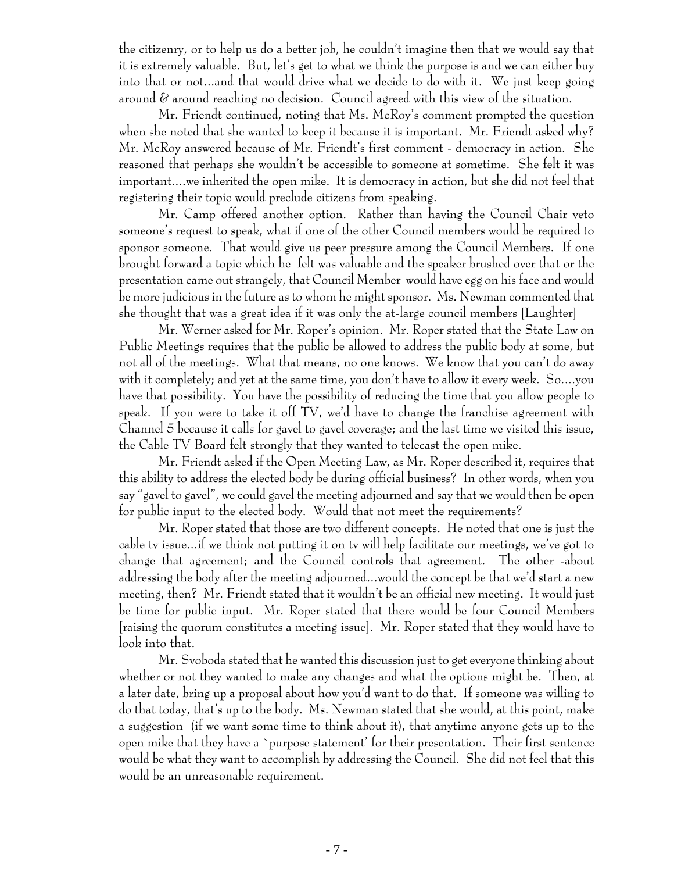the citizenry, or to help us do a better job, he couldn't imagine then that we would say that it is extremely valuable. But, let's get to what we think the purpose is and we can either buy into that or not...and that would drive what we decide to do with it. We just keep going around  $\varepsilon$  around reaching no decision. Council agreed with this view of the situation.

Mr. Friendt continued, noting that Ms. McRoy's comment prompted the question when she noted that she wanted to keep it because it is important. Mr. Friendt asked why? Mr. McRoy answered because of Mr. Friendt's first comment - democracy in action. She reasoned that perhaps she wouldn't be accessible to someone at sometime. She felt it was important....we inherited the open mike. It is democracy in action, but she did not feel that registering their topic would preclude citizens from speaking.

Mr. Camp offered another option. Rather than having the Council Chair veto someone's request to speak, what if one of the other Council members would be required to sponsor someone. That would give us peer pressure among the Council Members. If one brought forward a topic which he felt was valuable and the speaker brushed over that or the presentation came out strangely, that Council Member would have egg on his face and would be more judicious in the future as to whom he might sponsor. Ms. Newman commented that she thought that was a great idea if it was only the at-large council members [Laughter]

Mr. Werner asked for Mr. Roper's opinion. Mr. Roper stated that the State Law on Public Meetings requires that the public be allowed to address the public body at some, but not all of the meetings. What that means, no one knows. We know that you can't do away with it completely; and yet at the same time, you don't have to allow it every week. So....you have that possibility. You have the possibility of reducing the time that you allow people to speak. If you were to take it off TV, we'd have to change the franchise agreement with Channel 5 because it calls for gavel to gavel coverage; and the last time we visited this issue, the Cable TV Board felt strongly that they wanted to telecast the open mike.

Mr. Friendt asked if the Open Meeting Law, as Mr. Roper described it, requires that this ability to address the elected body be during official business? In other words, when you say "gavel to gavel", we could gavel the meeting adjourned and say that we would then be open for public input to the elected body. Would that not meet the requirements?

Mr. Roper stated that those are two different concepts. He noted that one is just the cable tv issue...if we think not putting it on tv will help facilitate our meetings, we've got to change that agreement; and the Council controls that agreement. The other -about addressing the body after the meeting adjourned...would the concept be that we'd start a new meeting, then? Mr. Friendt stated that it wouldn't be an official new meeting. It would just be time for public input. Mr. Roper stated that there would be four Council Members [raising the quorum constitutes a meeting issue]. Mr. Roper stated that they would have to look into that.

Mr. Svoboda stated that he wanted this discussion just to get everyone thinking about whether or not they wanted to make any changes and what the options might be. Then, at a later date, bring up a proposal about how you'd want to do that. If someone was willing to do that today, that's up to the body. Ms. Newman stated that she would, at this point, make a suggestion (if we want some time to think about it), that anytime anyone gets up to the open mike that they have a `purpose statement' for their presentation. Their first sentence would be what they want to accomplish by addressing the Council. She did not feel that this would be an unreasonable requirement.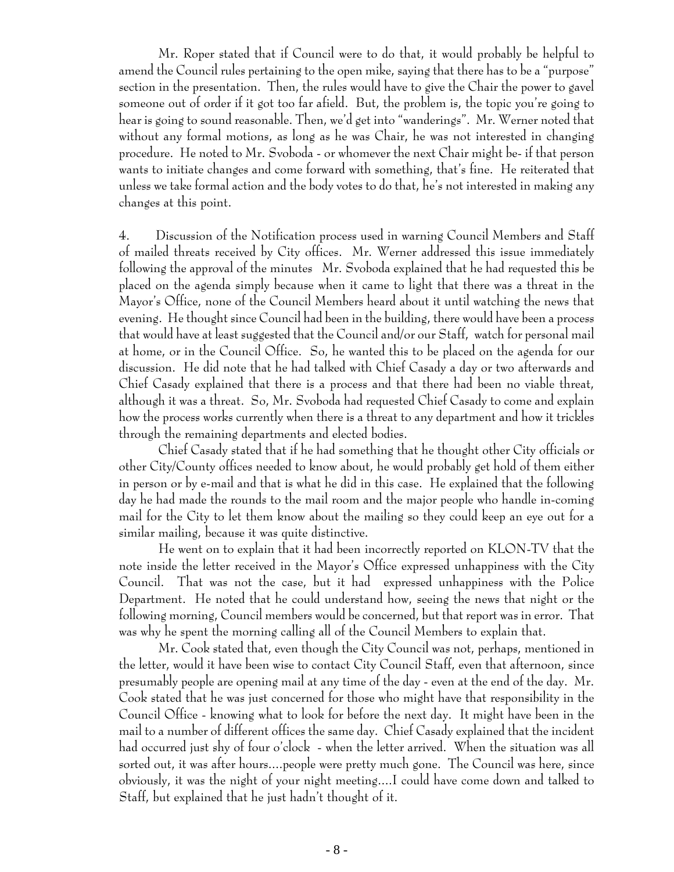Mr. Roper stated that if Council were to do that, it would probably be helpful to amend the Council rules pertaining to the open mike, saying that there has to be a "purpose" section in the presentation. Then, the rules would have to give the Chair the power to gavel someone out of order if it got too far afield. But, the problem is, the topic you're going to hear is going to sound reasonable. Then, we'd get into "wanderings". Mr. Werner noted that without any formal motions, as long as he was Chair, he was not interested in changing procedure. He noted to Mr. Svoboda - or whomever the next Chair might be- if that person wants to initiate changes and come forward with something, that's fine. He reiterated that unless we take formal action and the body votes to do that, he's not interested in making any changes at this point.

4. Discussion of the Notification process used in warning Council Members and Staff of mailed threats received by City offices. Mr. Werner addressed this issue immediately following the approval of the minutes Mr. Svoboda explained that he had requested this be placed on the agenda simply because when it came to light that there was a threat in the Mayor's Office, none of the Council Members heard about it until watching the news that evening. He thought since Council had been in the building, there would have been a process that would have at least suggested that the Council and/or our Staff, watch for personal mail at home, or in the Council Office. So, he wanted this to be placed on the agenda for our discussion. He did note that he had talked with Chief Casady a day or two afterwards and Chief Casady explained that there is a process and that there had been no viable threat, although it was a threat. So, Mr. Svoboda had requested Chief Casady to come and explain how the process works currently when there is a threat to any department and how it trickles through the remaining departments and elected bodies.

Chief Casady stated that if he had something that he thought other City officials or other City/County offices needed to know about, he would probably get hold of them either in person or by e-mail and that is what he did in this case. He explained that the following day he had made the rounds to the mail room and the major people who handle in-coming mail for the City to let them know about the mailing so they could keep an eye out for a similar mailing, because it was quite distinctive.

He went on to explain that it had been incorrectly reported on KLON-TV that the note inside the letter received in the Mayor's Office expressed unhappiness with the City Council. That was not the case, but it had expressed unhappiness with the Police Department. He noted that he could understand how, seeing the news that night or the following morning, Council members would be concerned, but that report was in error. That was why he spent the morning calling all of the Council Members to explain that.

Mr. Cook stated that, even though the City Council was not, perhaps, mentioned in the letter, would it have been wise to contact City Council Staff, even that afternoon, since presumably people are opening mail at any time of the day - even at the end of the day. Mr. Cook stated that he was just concerned for those who might have that responsibility in the Council Office - knowing what to look for before the next day. It might have been in the mail to a number of different offices the same day. Chief Casady explained that the incident had occurred just shy of four o'clock - when the letter arrived. When the situation was all sorted out, it was after hours....people were pretty much gone. The Council was here, since obviously, it was the night of your night meeting....I could have come down and talked to Staff, but explained that he just hadn't thought of it.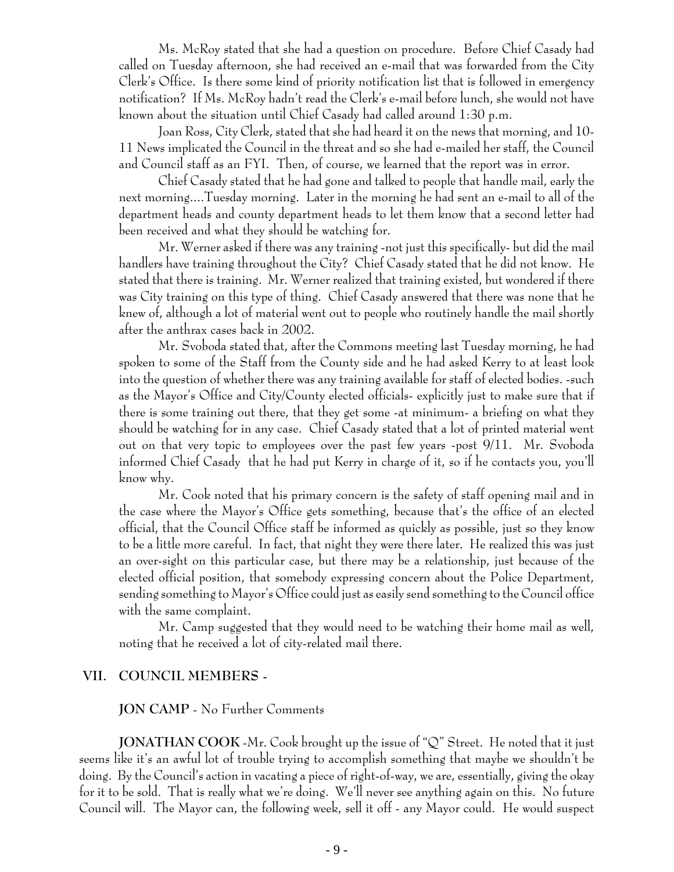Ms. McRoy stated that she had a question on procedure. Before Chief Casady had called on Tuesday afternoon, she had received an e-mail that was forwarded from the City Clerk's Office. Is there some kind of priority notification list that is followed in emergency notification? If Ms. McRoy hadn't read the Clerk's e-mail before lunch, she would not have known about the situation until Chief Casady had called around 1:30 p.m.

Joan Ross, City Clerk, stated that she had heard it on the news that morning, and 10- 11 News implicated the Council in the threat and so she had e-mailed her staff, the Council and Council staff as an FYI. Then, of course, we learned that the report was in error.

Chief Casady stated that he had gone and talked to people that handle mail, early the next morning....Tuesday morning. Later in the morning he had sent an e-mail to all of the department heads and county department heads to let them know that a second letter had been received and what they should be watching for.

Mr. Werner asked if there was any training -not just this specifically- but did the mail handlers have training throughout the City? Chief Casady stated that he did not know. He stated that there is training. Mr. Werner realized that training existed, but wondered if there was City training on this type of thing. Chief Casady answered that there was none that he knew of, although a lot of material went out to people who routinely handle the mail shortly after the anthrax cases back in 2002.

Mr. Svoboda stated that, after the Commons meeting last Tuesday morning, he had spoken to some of the Staff from the County side and he had asked Kerry to at least look into the question of whether there was any training available for staff of elected bodies. -such as the Mayor's Office and City/County elected officials- explicitly just to make sure that if there is some training out there, that they get some -at minimum- a briefing on what they should be watching for in any case. Chief Casady stated that a lot of printed material went out on that very topic to employees over the past few years -post 9/11. Mr. Svoboda informed Chief Casady that he had put Kerry in charge of it, so if he contacts you, you'll know why.

Mr. Cook noted that his primary concern is the safety of staff opening mail and in the case where the Mayor's Office gets something, because that's the office of an elected official, that the Council Office staff be informed as quickly as possible, just so they know to be a little more careful. In fact, that night they were there later. He realized this was just an over-sight on this particular case, but there may be a relationship, just because of the elected official position, that somebody expressing concern about the Police Department, sending something to Mayor's Office could just as easily send something to the Council office with the same complaint.

Mr. Camp suggested that they would need to be watching their home mail as well, noting that he received a lot of city-related mail there.

#### **VII. COUNCIL MEMBERS -**

**JON CAMP** - No Further Comments

**JONATHAN COOK** -Mr. Cook brought up the issue of "Q" Street. He noted that it just seems like it's an awful lot of trouble trying to accomplish something that maybe we shouldn't be doing. By the Council's action in vacating a piece of right-of-way, we are, essentially, giving the okay for it to be sold. That is really what we're doing. We'll never see anything again on this. No future Council will. The Mayor can, the following week, sell it off - any Mayor could. He would suspect